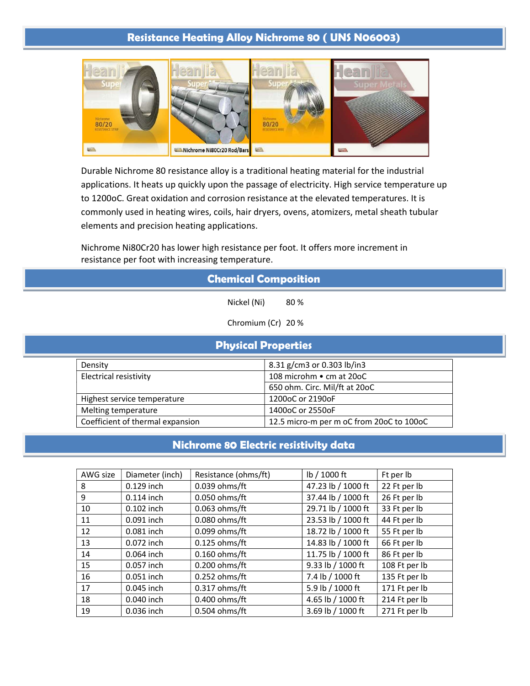## Resistance Heating Alloy Nichrome 80 ( UNS N06003)



Durable Nichrome 80 resistance alloy is a traditional heating material for the industrial applications. It heats up quickly upon the passage of electricity. High service temperature up to 1200oC. Great oxidation and corrosion resistance at the elevated temperatures. It is commonly used in heating wires, coils, hair dryers, ovens, atomizers, metal sheath tubular elements and precision heating applications.

Nichrome Ni80Cr20 has lower high resistance per foot. It offers more increment in resistance per foot with increasing temperature.

| <b>Chemical Composition</b> |                               |                               |  |  |  |
|-----------------------------|-------------------------------|-------------------------------|--|--|--|
| Nickel (Ni)<br>80%          |                               |                               |  |  |  |
| Chromium (Cr) 20 %          |                               |                               |  |  |  |
| <b>Physical Properties</b>  |                               |                               |  |  |  |
|                             | Density                       | 8.31 g/cm3 or 0.303 lb/in3    |  |  |  |
|                             | <b>Electrical resistivity</b> | 108 microhm • cm at 20oC      |  |  |  |
|                             |                               | 650 ohm. Circ. Mil/ft at 20oC |  |  |  |

| Highest service temperature      | 1200oC or 2190oF                         |
|----------------------------------|------------------------------------------|
| Melting temperature              | 1400oC or 2550oF                         |
| Coefficient of thermal expansion | 12.5 micro-m per m oC from 20oC to 100oC |

## Nichrome 80 Electric resistivity data

| AWG size | Diameter (inch) | Resistance (ohms/ft) | lb / 1000 ft       | Ft per lb     |
|----------|-----------------|----------------------|--------------------|---------------|
| 8        | $0.129$ inch    | 0.039 ohms/ft        | 47.23 lb / 1000 ft | 22 Ft per lb  |
| 9        | $0.114$ inch    | $0.050$ ohms/ft      | 37.44 lb / 1000 ft | 26 Ft per lb  |
| 10       | 0.102 inch      | 0.063 ohms/ft        | 29.71 lb / 1000 ft | 33 Ft per lb  |
| 11       | 0.091 inch      | 0.080 ohms/ft        | 23.53 lb / 1000 ft | 44 Ft per lb  |
| 12       | 0.081 inch      | 0.099 ohms/ft        | 18.72 lb / 1000 ft | 55 Ft per lb  |
| 13       | 0.072 inch      | $0.125$ ohms/ft      | 14.83 lb / 1000 ft | 66 Ft per lb  |
| 14       | 0.064 inch      | $0.160$ ohms/ft      | 11.75 lb / 1000 ft | 86 Ft per lb  |
| 15       | 0.057 inch      | $0.200$ ohms/ft      | 9.33 lb / 1000 ft  | 108 Ft per lb |
| 16       | 0.051 inch      | $0.252$ ohms/ft      | 7.4 lb / 1000 ft   | 135 Ft per lb |
| 17       | 0.045 inch      | $0.317$ ohms/ft      | 5.9 lb / 1000 ft   | 171 Ft per lb |
| 18       | 0.040 inch      | $0.400$ ohms/ft      | 4.65 lb / 1000 ft  | 214 Ft per lb |
| 19       | 0.036 inch      | $0.504$ ohms/ft      | 3.69 lb / 1000 ft  | 271 Ft per lb |